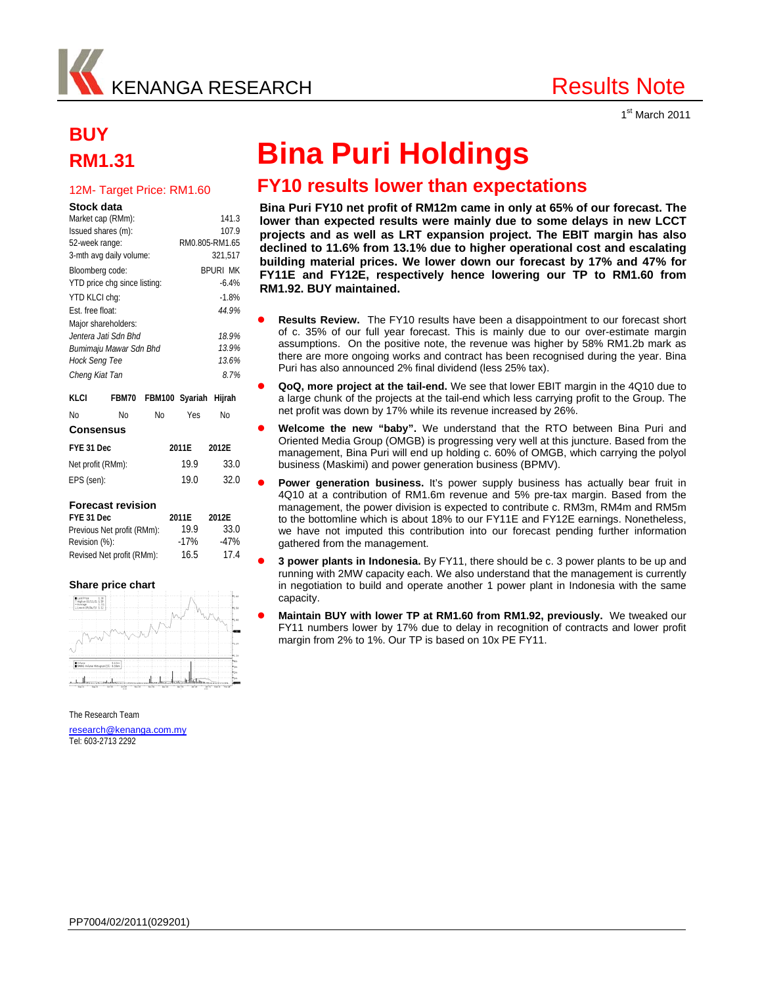

1<sup>st</sup> March 2011

# **BUY**

#### **Stock data**

| KLCI                | FBM70                        |                 | FBM100 Syariah Hijrah |  |  |  |
|---------------------|------------------------------|-----------------|-----------------------|--|--|--|
| Cheng Kiat Tan      |                              | 8.7%            |                       |  |  |  |
| Hock Seng Tee       |                              | 13.6%           |                       |  |  |  |
|                     | Bumimaju Mawar Sdn Bhd       | 13.9%           |                       |  |  |  |
|                     | Jentera Jati Sdn Bhd         | 18.9%           |                       |  |  |  |
| Major shareholders: |                              |                 |                       |  |  |  |
| Est. free float:    |                              | 44 9%           |                       |  |  |  |
| YTD KLCI chq:       |                              | $-1.8%$         |                       |  |  |  |
|                     | YTD price chg since listing: | $-6.4%$         |                       |  |  |  |
| Bloomberg code:     |                              | <b>BPURL MK</b> |                       |  |  |  |
|                     | 3-mth avg daily volume:      | 321.517         |                       |  |  |  |
| 52-week range:      |                              | RM0.805-RM1.65  |                       |  |  |  |
| Issued shares (m):  |                              | 107.9           |                       |  |  |  |
|                     | Market cap (RMm):            | 141.3           |                       |  |  |  |

| No               | Nο                | No | Yes   | Nο    |  |
|------------------|-------------------|----|-------|-------|--|
| <b>Consensus</b> |                   |    |       |       |  |
| FYE 31 Dec       |                   |    | 2011E | 2012E |  |
|                  | Net profit (RMm): |    | 19.9  | 33.0  |  |
| EPS (sen):       |                   |    | 19.0  | 32.0  |  |

### **Forecast revision**

| FYE 31 Dec                 | 2011E  | 2012E  |
|----------------------------|--------|--------|
| Previous Net profit (RMm): | 19.9   | 33.0   |
| Revision (%):              | $-17%$ | $-47%$ |
| Revised Net profit (RMm):  | 16.5   | 17.4   |

### **Share price chart**



The Research Team

research@kenanga.com.my Tel: 603-2713 2292

## **RM1.31 Bina Puri Holdings**

## 12M- Target Price: RM1.60 **FY10 results lower than expectations**

**Bina Puri FY10 net profit of RM12m came in only at 65% of our forecast. The lower than expected results were mainly due to some delays in new LCCT projects and as well as LRT expansion project. The EBIT margin has also declined to 11.6% from 13.1% due to higher operational cost and escalating building material prices. We lower down our forecast by 17% and 47% for FY11E and FY12E, respectively hence lowering our TP to RM1.60 from RM1.92. BUY maintained.** 

- **Results Review.** The FY10 results have been a disappointment to our forecast short of c. 35% of our full year forecast. This is mainly due to our over-estimate margin assumptions. On the positive note, the revenue was higher by 58% RM1.2b mark as there are more ongoing works and contract has been recognised during the year. Bina Puri has also announced 2% final dividend (less 25% tax).
- **QoQ, more project at the tail-end.** We see that lower EBIT margin in the 4Q10 due to a large chunk of the projects at the tail-end which less carrying profit to the Group. The net profit was down by 17% while its revenue increased by 26%.
- **Welcome the new "baby".** We understand that the RTO between Bina Puri and Oriented Media Group (OMGB) is progressing very well at this juncture. Based from the management, Bina Puri will end up holding c. 60% of OMGB, which carrying the polyol business (Maskimi) and power generation business (BPMV).
- **Power generation business.** It's power supply business has actually bear fruit in 4Q10 at a contribution of RM1.6m revenue and 5% pre-tax margin. Based from the management, the power division is expected to contribute c. RM3m, RM4m and RM5m to the bottomline which is about 18% to our FY11E and FY12E earnings. Nonetheless, we have not imputed this contribution into our forecast pending further information gathered from the management.
- **3 power plants in Indonesia.** By FY11, there should be c. 3 power plants to be up and running with 2MW capacity each. We also understand that the management is currently in negotiation to build and operate another 1 power plant in Indonesia with the same capacity.
- **Maintain BUY with lower TP at RM1.60 from RM1.92, previously.** We tweaked our FY11 numbers lower by 17% due to delay in recognition of contracts and lower profit margin from 2% to 1%. Our TP is based on 10x PE FY11.